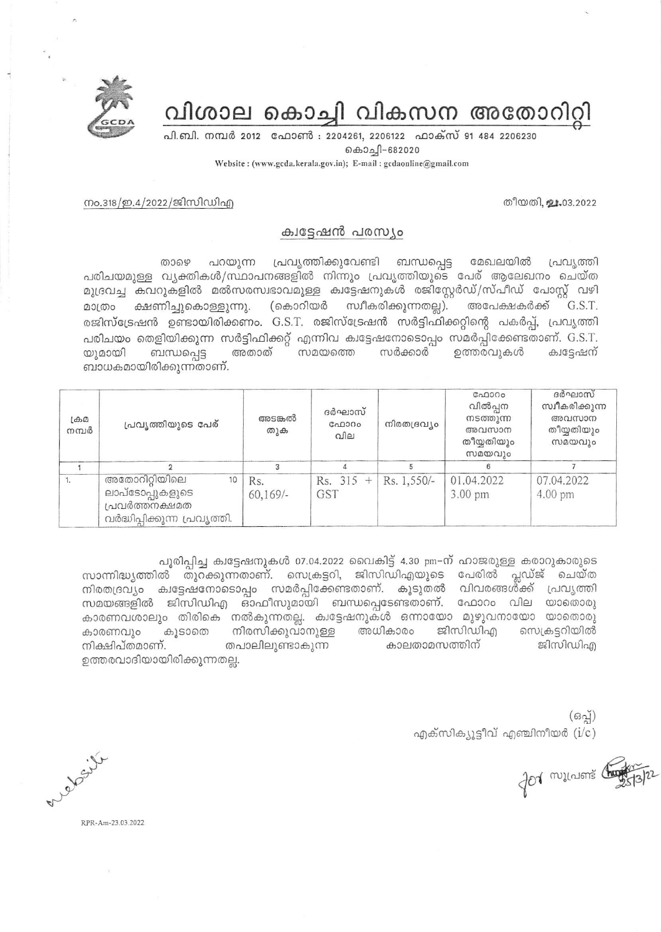വിശാല കൊച്ചി വികസന അതോറിറ്റി

പി.ബി. നമ്പർ 2012 ഫോൺ : 2204261, 2206122 ഫാക്സ് 91 484 2206230 கெ0்வுி-682020 Website: (www.gcda.kerala.gov.in); E-mail: gcdaonline@gmail.com

തീയതി, ചാം03.2022

നം.318/ഇ.4/2022/ജിസിഡിഎ

## ക്വട്ടേഷൻ പരസ്യം

പ്രവ്യത്തിക്കുവേണ്ടി താഴെ പറയുന്ന ബന്ധപ്പെട്ട മേഖലയിൽ പ്രവൃത്തി പരിചയമുള്ള വൃക്തികൾ/സ്ഥാപനങ്ങളിൽ നിന്നും പ്രവൃത്തിയുടെ പേര് ആലേഖനം ചെയ്ത മുദ്രവച്ച കവറുകളിൽ മൽസരസ്വഭാവമുള്ള ക്വട്ടേഷനുകൾ രജിസ്റ്റേർഡ്/സ്പീഡ് പോസ്റ്റ് വഴി (കൊറിയർ സ്വീകരിക്കുന്നതല്ല). ക്ഷണിച്ചുകൊള്ളുന്നു. അപേക്ഷകർക്ക് G.S.T. മാത്രം രജിസ്ട്രേഷൻ ഉണ്ടായിരിക്കണം. G.S.T. രജിസ്ട്രേഷൻ സർട്ടിഫിക്കറ്റിന്റെ പകർപ്പ്, പ്രവൃത്തി പരിചയം തെളിയിക്കുന്ന സർട്ടിഫിക്കറ്റ് എന്നിവ ക്വട്ടേഷനോടൊപ്പം സമർപ്പിക്കേണ്ടതാണ്. G.S.T. ബന്ധപ്പെട്ട സമയത്തെ സർക്കാർ ഉത്തരവ്വകൾ യുമായി അതാത് ക്വട്ടേഷന് ബാധകമായിരിക്കുന്നതാണ്.

| $L \oplus \Omega$<br>നമ്പർ | പ്രവൃത്തിയുടെ പേര്                                                                       | അടങ്കൽ<br>തുക      | ദർഘാസ്<br>ഫോറം<br>വില | നിരതദ്രവ്യം | ഫോറം<br>വിൽപ്പന<br>നടത്തുന്ന<br>അവസാന<br>തീയ്യതിയും<br>സമയവും | ദർഘാസ്<br>സ്വീകരിക്കുന്ന<br>അവസാന<br>തീയ്യതിയും<br>സമയവും |
|----------------------------|------------------------------------------------------------------------------------------|--------------------|-----------------------|-------------|---------------------------------------------------------------|-----------------------------------------------------------|
|                            |                                                                                          |                    |                       |             |                                                               |                                                           |
|                            | അതോറിറ്റിയിലെ<br>10<br>ലാപ്ടോപ്പുകളുടെ<br>പ്രവർത്തനക്ഷമത<br>വർദ്ധിപ്പിക്കുന്ന പ്രവൃത്തി. | Rs.<br>$60,169/$ - | $Rs. 315 +$<br>GST    | Rs. 1,550/- | 01.04.2022<br>$3.00$ pm                                       | 07.04.2022<br>4.00 pm                                     |

പൂരിപ്പിച്ച ക്വട്ടേഷനുകൾ 07.04.2022 വൈകിട്ട് 4.30 pm-ന് ഹാജരുള്ള കരാറുകാരുടെ സാന്നിദ്ധ്യത്തിൽ തുറക്കുന്നതാണ്. സെക്രട്ടറി, ജിസിഡിഎയുടെ പേരിൽ പ്ലഡ്ജ് ചെയ്ത നിരതദ്രവ്യം ക്വട്ടേഷനോടൊപ്പം സമർപ്പിക്കേണ്ടതാണ്. കൂടുതൽ വിവരങ്ങൾക്ക് പ്രവൃത്തി സമയങ്ങളിൽ ജിസിഡിഎ ഓഫീസുമായി ബന്ധപ്പെടേണ്ടതാണ്. ഫോറം വില യാതൊരു കാരണവശാലും തിരികെ നൽകുന്നതല്ല. ക്വട്ടേഷനുകൾ ഒന്നായോ മുഴുവനായോ യാതൊരു കൂടാതെ നിരസിക്കുവാനുള്ള അധികാരം ജിസിഡിഎ സെക്രട്ടറിയിൽ കാരണവും കാലതാമസത്തിന് തപാലിലുണ്ടാകുന്ന ജിസിഡിഎ നിക്ഷിപ്തമാണ്. ഉത്തരവാദിയായിരിക്കുന്നതല്ല.

> $(63)$ എക്സിക്യൂട്ടീവ് എഞ്ചിനീയർ  $(i/c)$

for millions to

y. il

RPR-Am-23.03.2022